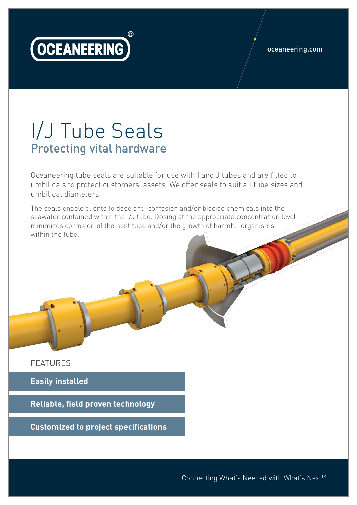

## oceaneering.com

## I/J Tube Seals Protecting vital hardware

Oceaneering tube seals are suitable for use with I and J tubes and are fitted to umbilicals to protect customers' assets. We offer seals to suit all tube sizes and umbilical diameters.

The seals enable clients to dose anti-corrosion and/or biocide chemicals into the seawater contained within the I/J tube. Dosing at the appropriate concentration level minimizes corrosion of the host tube and/or the growth of harmful organisms within the tube.

FEATURES

**Easily installed**

**Reliable, field proven technology**

**Customized to project specifications**

Connecting What's Needed with What's Next™